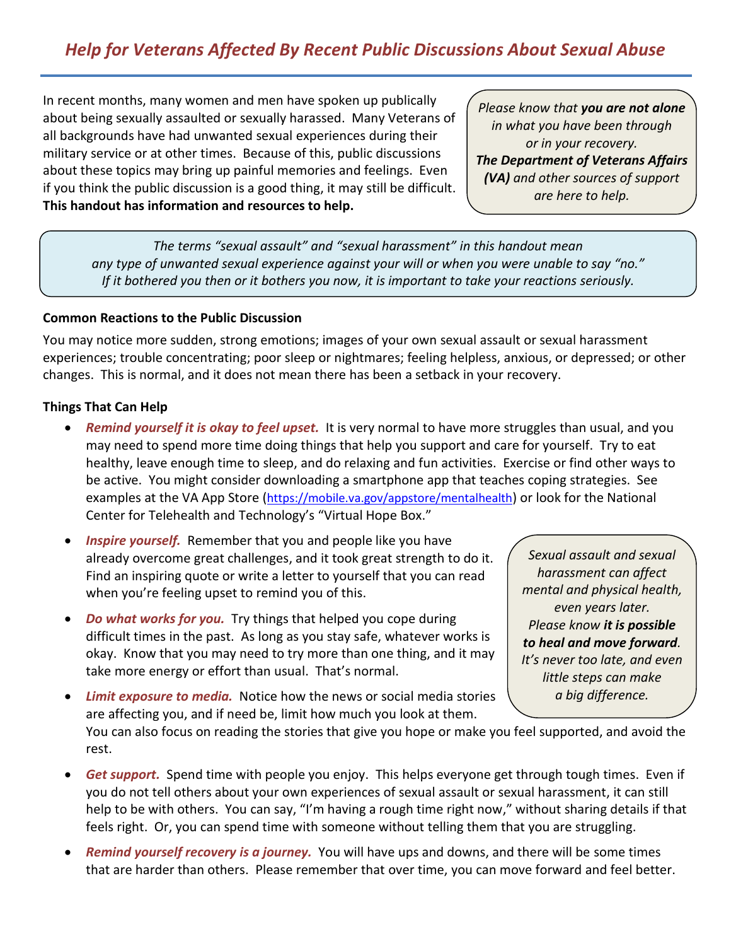# *Help for Veterans Affected By Recent Public Discussions About Sexual Abuse*

 In recent months, many women and men have spoken up publically about being sexually assaulted or sexually harassed. Many Veterans of all backgrounds have had unwanted sexual experiences during their military service or at other times. Because of this, public discussions about these topics may bring up painful memories and feelings. Even if you think the public discussion is a good thing, it may still be difficult.  **This handout has information and resources to help.** 

 *Please know that you are not alone in what you have been through The Department of Veterans Affairs (VA) and other sources of support are here to help. or in your recovery.* 

 *The terms "sexual assault" and "sexual harassment" in this handout mean any type of unwanted sexual experience against your will or when you were unable to say "no." If it bothered you then or it bothers you now, it is important to take your reactions seriously.* 

#### **Common Reactions to the Public Discussion**

 You may notice more sudden, strong emotions; images of your own sexual assault or sexual harassment experiences; trouble concentrating; poor sleep or nightmares; feeling helpless, anxious, or depressed; or other changes. This is normal, and it does not mean there has been a setback in your recovery.

### **Things That Can Help**

- Remind yourself it is okay to feel upset. It is very normal to have more struggles than usual, and you may need to spend more time doing things that help you support and care for yourself. Try to eat healthy, leave enough time to sleep, and do relaxing and fun activities. Exercise or find other ways to be active. You might consider downloading a smartphone app that teaches coping strategies. See examples at the VA App Store [\(https://mobile.va.gov/appstore/mentalhealth\)](https://mobile.va.gov/appstore/mentalhealth) or look for the National Center for Telehealth and Technology's "Virtual Hope Box."
- **Inspire yourself.** Remember that you and people like you have already overcome great challenges, and it took great strength to do it. Find an inspiring quote or write a letter to yourself that you can read when you're feeling upset to remind you of this.
- *Do what works for you.* Try things that helped you cope during difficult times in the past. As long as you stay safe, whatever works is okay. Know that you may need to try more than one thing, and it may take more energy or effort than usual. That's normal.

 *Sexual assault and sexual harassment can affect*  even years later.  *even years later. Please know it is possible to heal and move forward. It's never too late, and even little steps can make a big difference. mental and physical health,* 

**• Limit exposure to media.** Notice how the news or social media stories are affecting you, and if need be, limit how much you look at them.

 You can also focus on reading the stories that give you hope or make you feel supported, and avoid the rest.

- *Get support.* Spend time with people you enjoy. This helps everyone get through tough times. Even if you do not tell others about your own experiences of sexual assault or sexual harassment, it can still help to be with others. You can say, "I'm having a rough time right now," without sharing details if that feels right. Or, you can spend time with someone without telling them that you are struggling.
- Remind yourself recovery is a journey. You will have ups and downs, and there will be some times that are harder than others. Please remember that over time, you can move forward and feel better.